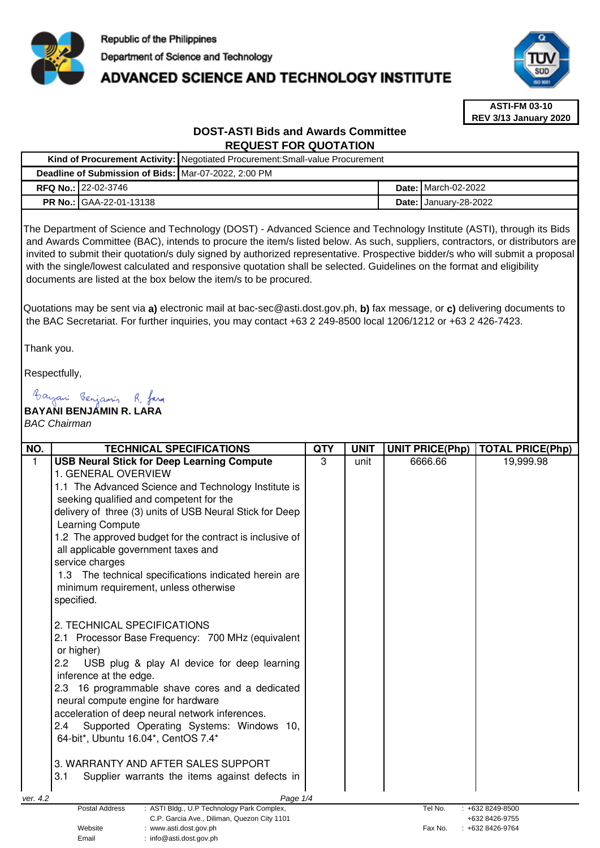

# **ADVANCED SCIENCE AND TECHNOLOGY INSTITUTE**



**ASTI-FM 03-10 REV 3/13 January 2020**

# **DOST-ASTI Bids and Awards Committee REQUEST FOR QUOTATION**

|  |                                                      | Kind of Procurement Activity:   Negotiated Procurement: Small-value Procurement |  |                              |
|--|------------------------------------------------------|---------------------------------------------------------------------------------|--|------------------------------|
|  | Deadline of Submission of Bids: Mar-07-2022, 2:00 PM |                                                                                 |  |                              |
|  | <b>RFQ No.: 22-02-3746</b>                           |                                                                                 |  | <b>Date: I</b> March-02-2022 |
|  | <b>PR No.: GAA-22-01-13138</b>                       |                                                                                 |  | <b>Date: January-28-2022</b> |

The Department of Science and Technology (DOST) - Advanced Science and Technology Institute (ASTI), through its Bids and Awards Committee (BAC), intends to procure the item/s listed below. As such, suppliers, contractors, or distributors are invited to submit their quotation/s duly signed by authorized representative. Prospective bidder/s who will submit a proposal with the single/lowest calculated and responsive quotation shall be selected. Guidelines on the format and eligibility documents are listed at the box below the item/s to be procured.

Quotations may be sent via **a)** electronic mail at bac-sec@asti.dost.gov.ph, **b)** fax message, or **c)** delivering documents to the BAC Secretariat. For further inquiries, you may contact +63 2 249-8500 local 1206/1212 or +63 2 426-7423.

Thank you.

Respectfully,

Bayani Benjamin R. Jara

# **BAYANI BENJAMIN R. LARA**

Email : info@asti.dost.gov.ph

BAC Chairman

| NO.          | <b>TECHNICAL SPECIFICATIONS</b>                                                                             | <b>QTY</b> | <b>UNIT</b> | <b>UNIT PRICE(Php)</b> | <b>TOTAL PRICE(Php)</b>               |
|--------------|-------------------------------------------------------------------------------------------------------------|------------|-------------|------------------------|---------------------------------------|
| $\mathbf{1}$ | <b>USB Neural Stick for Deep Learning Compute</b>                                                           | 3          | unit        | 6666.66                | 19,999.98                             |
|              | 1. GENERAL OVERVIEW                                                                                         |            |             |                        |                                       |
|              | 1.1 The Advanced Science and Technology Institute is                                                        |            |             |                        |                                       |
|              | seeking qualified and competent for the                                                                     |            |             |                        |                                       |
|              | delivery of three (3) units of USB Neural Stick for Deep                                                    |            |             |                        |                                       |
|              | Learning Compute                                                                                            |            |             |                        |                                       |
|              | 1.2 The approved budget for the contract is inclusive of                                                    |            |             |                        |                                       |
|              | all applicable government taxes and                                                                         |            |             |                        |                                       |
|              | service charges                                                                                             |            |             |                        |                                       |
|              | 1.3 The technical specifications indicated herein are                                                       |            |             |                        |                                       |
|              | minimum requirement, unless otherwise                                                                       |            |             |                        |                                       |
|              | specified.                                                                                                  |            |             |                        |                                       |
|              | 2. TECHNICAL SPECIFICATIONS                                                                                 |            |             |                        |                                       |
|              | 2.1 Processor Base Frequency: 700 MHz (equivalent                                                           |            |             |                        |                                       |
|              | or higher)                                                                                                  |            |             |                        |                                       |
|              | USB plug & play AI device for deep learning<br>2.2                                                          |            |             |                        |                                       |
|              | inference at the edge.                                                                                      |            |             |                        |                                       |
|              | 2.3 16 programmable shave cores and a dedicated                                                             |            |             |                        |                                       |
|              | neural compute engine for hardware                                                                          |            |             |                        |                                       |
|              | acceleration of deep neural network inferences.                                                             |            |             |                        |                                       |
|              | Supported Operating Systems: Windows 10,<br>2.4                                                             |            |             |                        |                                       |
|              | 64-bit*, Ubuntu 16.04*, CentOS 7.4*                                                                         |            |             |                        |                                       |
|              | 3. WARRANTY AND AFTER SALES SUPPORT                                                                         |            |             |                        |                                       |
|              | 3.1<br>Supplier warrants the items against defects in                                                       |            |             |                        |                                       |
|              |                                                                                                             |            |             |                        |                                       |
| ver. 4.2     | Page 1/4                                                                                                    |            |             | Tel No.                |                                       |
|              | Postal Address<br>: ASTI Bldg., U.P Technology Park Complex,<br>C.P. Garcia Ave., Diliman, Quezon City 1101 |            |             |                        | $: +6328249 - 8500$<br>+632 8426-9755 |
|              | Website<br>:www.asti.dost.gov.ph                                                                            |            |             | Fax No.                | +632 8426-9764                        |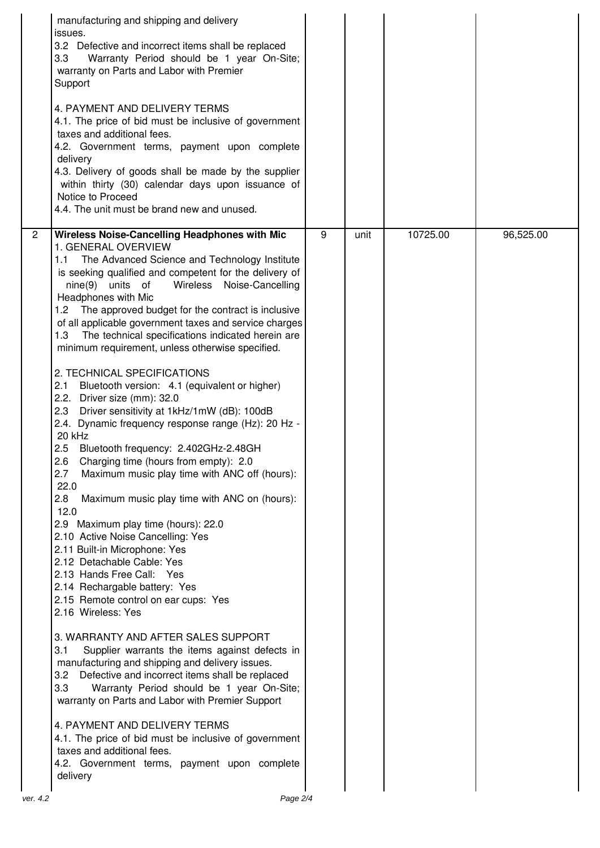|                | manufacturing and shipping and delivery<br>issues.<br>3.2 Defective and incorrect items shall be replaced<br>Warranty Period should be 1 year On-Site;<br>3.3 <sub>2</sub><br>warranty on Parts and Labor with Premier<br>Support<br>4. PAYMENT AND DELIVERY TERMS<br>4.1. The price of bid must be inclusive of government<br>taxes and additional fees.<br>4.2. Government terms, payment upon complete<br>delivery<br>4.3. Delivery of goods shall be made by the supplier<br>within thirty (30) calendar days upon issuance of<br>Notice to Proceed<br>4.4. The unit must be brand new and unused.                                                                                                                                                                                                                                                                                                                                                                                                                                                                                                                                                                                                                                                                                                                                                                                                                                                                                                                                                                                                                                                                                                                                                |   |      |          |           |
|----------------|-------------------------------------------------------------------------------------------------------------------------------------------------------------------------------------------------------------------------------------------------------------------------------------------------------------------------------------------------------------------------------------------------------------------------------------------------------------------------------------------------------------------------------------------------------------------------------------------------------------------------------------------------------------------------------------------------------------------------------------------------------------------------------------------------------------------------------------------------------------------------------------------------------------------------------------------------------------------------------------------------------------------------------------------------------------------------------------------------------------------------------------------------------------------------------------------------------------------------------------------------------------------------------------------------------------------------------------------------------------------------------------------------------------------------------------------------------------------------------------------------------------------------------------------------------------------------------------------------------------------------------------------------------------------------------------------------------------------------------------------------------|---|------|----------|-----------|
| $\overline{2}$ | Wireless Noise-Cancelling Headphones with Mic<br>1. GENERAL OVERVIEW<br>1.1 The Advanced Science and Technology Institute<br>is seeking qualified and competent for the delivery of<br>nine(9) units of<br>Wireless Noise-Cancelling<br>Headphones with Mic<br>1.2 The approved budget for the contract is inclusive<br>of all applicable government taxes and service charges<br>The technical specifications indicated herein are<br>1.3<br>minimum requirement, unless otherwise specified.<br>2. TECHNICAL SPECIFICATIONS<br>2.1<br>Bluetooth version: 4.1 (equivalent or higher)<br>2.2. Driver size (mm): 32.0<br>2.3 Driver sensitivity at 1kHz/1mW (dB): 100dB<br>2.4. Dynamic frequency response range (Hz): 20 Hz -<br>20 kHz<br>Bluetooth frequency: 2.402GHz-2.48GH<br>2.5<br>2.6<br>Charging time (hours from empty): 2.0<br>2.7<br>Maximum music play time with ANC off (hours):<br>22.0<br>2.8<br>Maximum music play time with ANC on (hours):<br>12.0<br>2.9 Maximum play time (hours): 22.0<br>2.10 Active Noise Cancelling: Yes<br>2.11 Built-in Microphone: Yes<br>2.12 Detachable Cable: Yes<br>2.13 Hands Free Call: Yes<br>2.14 Rechargable battery: Yes<br>2.15 Remote control on ear cups: Yes<br>2.16 Wireless: Yes<br>3. WARRANTY AND AFTER SALES SUPPORT<br>3.1<br>Supplier warrants the items against defects in<br>manufacturing and shipping and delivery issues.<br>Defective and incorrect items shall be replaced<br>3.2<br>3.3<br>Warranty Period should be 1 year On-Site;<br>warranty on Parts and Labor with Premier Support<br>4. PAYMENT AND DELIVERY TERMS<br>4.1. The price of bid must be inclusive of government<br>taxes and additional fees.<br>4.2. Government terms, payment upon complete<br>delivery | 9 | unit | 10725.00 | 96,525.00 |
| ver. 4.2       | Page 2/4                                                                                                                                                                                                                                                                                                                                                                                                                                                                                                                                                                                                                                                                                                                                                                                                                                                                                                                                                                                                                                                                                                                                                                                                                                                                                                                                                                                                                                                                                                                                                                                                                                                                                                                                              |   |      |          |           |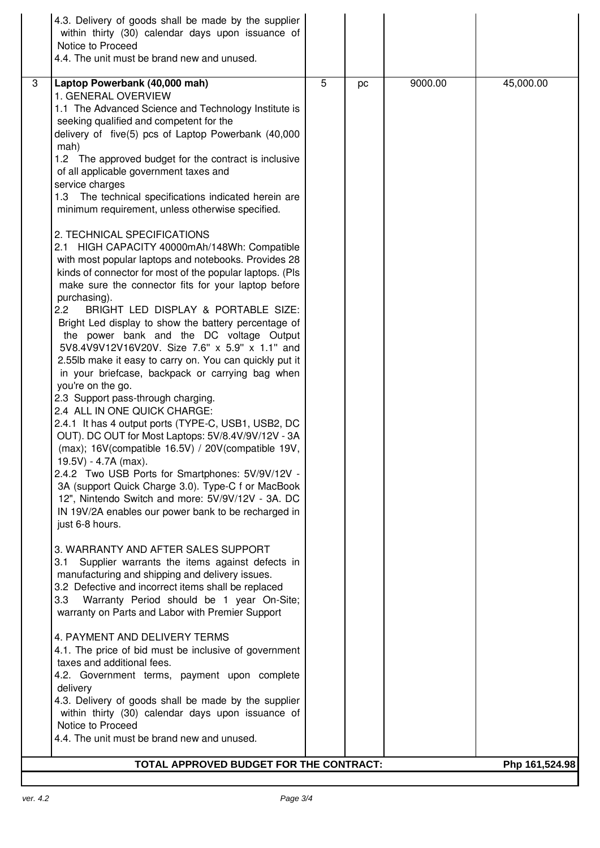|   | 4.3. Delivery of goods shall be made by the supplier<br>within thirty (30) calendar days upon issuance of<br>Notice to Proceed<br>4.4. The unit must be brand new and unused.                                                                                                                                                                                                                                                                                                                                                                                                                                                                                                                                                                                                                                                                                                                                                                                                                                                                                                                                                                                                                                                                                                                                                                                                                                                                                                                                                                                                                                                                                                                                                                                                                                                                                                                                                               |   |    |         |                |
|---|---------------------------------------------------------------------------------------------------------------------------------------------------------------------------------------------------------------------------------------------------------------------------------------------------------------------------------------------------------------------------------------------------------------------------------------------------------------------------------------------------------------------------------------------------------------------------------------------------------------------------------------------------------------------------------------------------------------------------------------------------------------------------------------------------------------------------------------------------------------------------------------------------------------------------------------------------------------------------------------------------------------------------------------------------------------------------------------------------------------------------------------------------------------------------------------------------------------------------------------------------------------------------------------------------------------------------------------------------------------------------------------------------------------------------------------------------------------------------------------------------------------------------------------------------------------------------------------------------------------------------------------------------------------------------------------------------------------------------------------------------------------------------------------------------------------------------------------------------------------------------------------------------------------------------------------------|---|----|---------|----------------|
| 3 | Laptop Powerbank (40,000 mah)<br>1. GENERAL OVERVIEW<br>1.1 The Advanced Science and Technology Institute is<br>seeking qualified and competent for the<br>delivery of five(5) pcs of Laptop Powerbank (40,000<br>mah)<br>1.2 The approved budget for the contract is inclusive<br>of all applicable government taxes and<br>service charges<br>The technical specifications indicated herein are<br>1.3<br>minimum requirement, unless otherwise specified.<br>2. TECHNICAL SPECIFICATIONS<br>2.1 HIGH CAPACITY 40000mAh/148Wh: Compatible<br>with most popular laptops and notebooks. Provides 28<br>kinds of connector for most of the popular laptops. (Pls<br>make sure the connector fits for your laptop before<br>purchasing).<br>2.2<br>BRIGHT LED DISPLAY & PORTABLE SIZE:<br>Bright Led display to show the battery percentage of<br>the power bank and the DC voltage Output<br>5V8.4V9V12V16V20V. Size 7.6" x 5.9" x 1.1" and<br>2.55lb make it easy to carry on. You can quickly put it<br>in your briefcase, backpack or carrying bag when<br>you're on the go.<br>2.3 Support pass-through charging.<br>2.4 ALL IN ONE QUICK CHARGE:<br>2.4.1 It has 4 output ports (TYPE-C, USB1, USB2, DC<br>OUT). DC OUT for Most Laptops: 5V/8.4V/9V/12V - 3A<br>(max); 16V(compatible 16.5V) / 20V(compatible 19V,<br>19.5V) - 4.7A (max).<br>2.4.2 Two USB Ports for Smartphones: 5V/9V/12V -<br>3A (support Quick Charge 3.0). Type-C f or MacBook<br>12", Nintendo Switch and more: 5V/9V/12V - 3A. DC<br>IN 19V/2A enables our power bank to be recharged in<br>just 6-8 hours.<br>3. WARRANTY AND AFTER SALES SUPPORT<br>Supplier warrants the items against defects in<br>3.1<br>manufacturing and shipping and delivery issues.<br>3.2 Defective and incorrect items shall be replaced<br>3.3<br>Warranty Period should be 1 year On-Site;<br>warranty on Parts and Labor with Premier Support<br>4. PAYMENT AND DELIVERY TERMS | 5 | pc | 9000.00 | 45,000.00      |
|   | 4.1. The price of bid must be inclusive of government<br>taxes and additional fees.<br>4.2. Government terms, payment upon complete<br>delivery<br>4.3. Delivery of goods shall be made by the supplier                                                                                                                                                                                                                                                                                                                                                                                                                                                                                                                                                                                                                                                                                                                                                                                                                                                                                                                                                                                                                                                                                                                                                                                                                                                                                                                                                                                                                                                                                                                                                                                                                                                                                                                                     |   |    |         |                |
|   | within thirty (30) calendar days upon issuance of<br>Notice to Proceed<br>4.4. The unit must be brand new and unused.                                                                                                                                                                                                                                                                                                                                                                                                                                                                                                                                                                                                                                                                                                                                                                                                                                                                                                                                                                                                                                                                                                                                                                                                                                                                                                                                                                                                                                                                                                                                                                                                                                                                                                                                                                                                                       |   |    |         |                |
|   | TOTAL APPROVED BUDGET FOR THE CONTRACT:                                                                                                                                                                                                                                                                                                                                                                                                                                                                                                                                                                                                                                                                                                                                                                                                                                                                                                                                                                                                                                                                                                                                                                                                                                                                                                                                                                                                                                                                                                                                                                                                                                                                                                                                                                                                                                                                                                     |   |    |         | Php 161,524.98 |